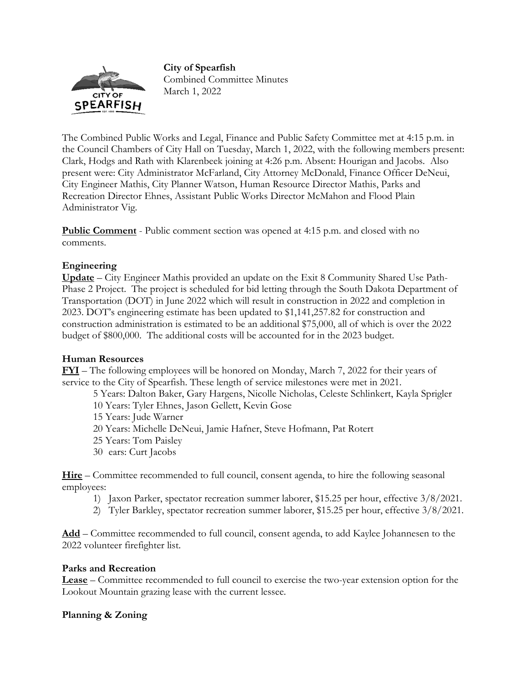#### **City of Spearfish**



Combined Committee Minutes March 1, 2022

The Combined Public Works and Legal, Finance and Public Safety Committee met at 4:15 p.m. in the Council Chambers of City Hall on Tuesday, March 1, 2022, with the following members present: Clark, Hodgs and Rath with Klarenbeek joining at 4:26 p.m. Absent: Hourigan and Jacobs. Also present were: City Administrator McFarland, City Attorney McDonald, Finance Officer DeNeui, City Engineer Mathis, City Planner Watson, Human Resource Director Mathis, Parks and Recreation Director Ehnes, Assistant Public Works Director McMahon and Flood Plain Administrator Vig.

**Public Comment** - Public comment section was opened at 4:15 p.m. and closed with no comments.

# **Engineering**

**Update** – City Engineer Mathis provided an update on the Exit 8 Community Shared Use Path-Phase 2 Project. The project is scheduled for bid letting through the South Dakota Department of Transportation (DOT) in June 2022 which will result in construction in 2022 and completion in 2023. DOT's engineering estimate has been updated to \$1,141,257.82 for construction and construction administration is estimated to be an additional \$75,000, all of which is over the 2022 budget of \$800,000. The additional costs will be accounted for in the 2023 budget.

# **Human Resources**

**FYI** – The following employees will be honored on Monday, March 7, 2022 for their years of service to the City of Spearfish. These length of service milestones were met in 2021.

5 Years: Dalton Baker, Gary Hargens, Nicolle Nicholas, Celeste Schlinkert, Kayla Sprigler

10 Years: Tyler Ehnes, Jason Gellett, Kevin Gose

15 Years: Jude Warner

20 Years: Michelle DeNeui, Jamie Hafner, Steve Hofmann, Pat Rotert

- 25 Years: Tom Paisley
- 30 ears: Curt Jacobs

**Hire** – Committee recommended to full council, consent agenda, to hire the following seasonal employees:

- 1) Jaxon Parker, spectator recreation summer laborer, \$15.25 per hour, effective 3/8/2021.
- 2) Tyler Barkley, spectator recreation summer laborer, \$15.25 per hour, effective 3/8/2021.

**Add** – Committee recommended to full council, consent agenda, to add Kaylee Johannesen to the 2022 volunteer firefighter list.

# **Parks and Recreation**

**Lease** – Committee recommended to full council to exercise the two-year extension option for the Lookout Mountain grazing lease with the current lessee.

# **Planning & Zoning**